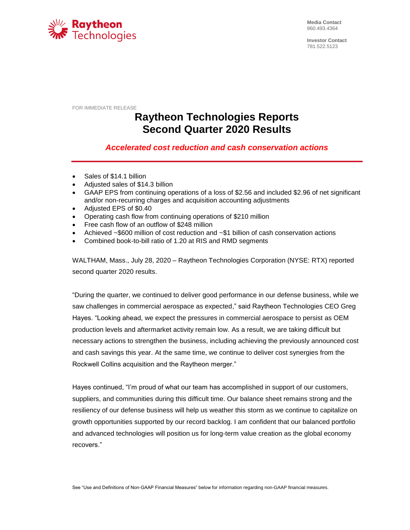

**Media Contact** 860.493.4364

**Investor Contact** 781.522.5123

FOR IMMEDIATE RELEASE

# **Raytheon Technologies Reports Second Quarter 2020 Results**

# *Accelerated cost reduction and cash conservation actions*

- Sales of \$14.1 billion
- Adjusted sales of \$14.3 billion
- GAAP EPS from continuing operations of a loss of \$2.56 and included \$2.96 of net significant and/or non-recurring charges and acquisition accounting adjustments
- Adjusted EPS of \$0.40
- Operating cash flow from continuing operations of \$210 million
- Free cash flow of an outflow of \$248 million
- Achieved ~\$600 million of cost reduction and ~\$1 billion of cash conservation actions
- Combined book-to-bill ratio of 1.20 at RIS and RMD segments

WALTHAM, Mass., July 28, 2020 – Raytheon Technologies Corporation (NYSE: RTX) reported second quarter 2020 results.

"During the quarter, we continued to deliver good performance in our defense business, while we saw challenges in commercial aerospace as expected," said Raytheon Technologies CEO Greg Hayes. "Looking ahead, we expect the pressures in commercial aerospace to persist as OEM production levels and aftermarket activity remain low. As a result, we are taking difficult but necessary actions to strengthen the business, including achieving the previously announced cost and cash savings this year. At the same time, we continue to deliver cost synergies from the Rockwell Collins acquisition and the Raytheon merger."

Hayes continued, "I'm proud of what our team has accomplished in support of our customers, suppliers, and communities during this difficult time. Our balance sheet remains strong and the resiliency of our defense business will help us weather this storm as we continue to capitalize on growth opportunities supported by our record backlog. I am confident that our balanced portfolio and advanced technologies will position us for long-term value creation as the global economy recovers."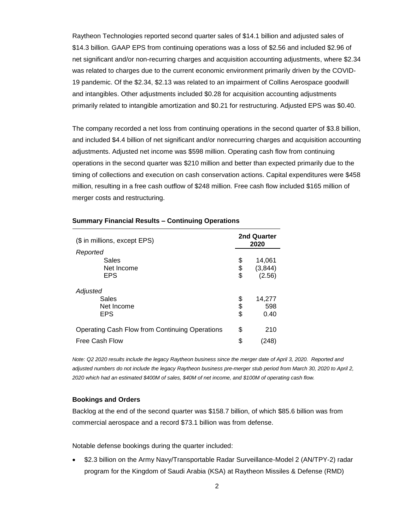Raytheon Technologies reported second quarter sales of \$14.1 billion and adjusted sales of \$14.3 billion. GAAP EPS from continuing operations was a loss of \$2.56 and included \$2.96 of net significant and/or non-recurring charges and acquisition accounting adjustments, where \$2.34 was related to charges due to the current economic environment primarily driven by the COVID-19 pandemic. Of the \$2.34, \$2.13 was related to an impairment of Collins Aerospace goodwill and intangibles. Other adjustments included \$0.28 for acquisition accounting adjustments primarily related to intangible amortization and \$0.21 for restructuring. Adjusted EPS was \$0.40.

The company recorded a net loss from continuing operations in the second quarter of \$3.8 billion, and included \$4.4 billion of net significant and/or nonrecurring charges and acquisition accounting adjustments. Adjusted net income was \$598 million. Operating cash flow from continuing operations in the second quarter was \$210 million and better than expected primarily due to the timing of collections and execution on cash conservation actions. Capital expenditures were \$458 million, resulting in a free cash outflow of \$248 million. Free cash flow included \$165 million of merger costs and restructuring.

| (\$ in millions, except EPS)                   | 2nd Quarter<br>2020 |          |  |  |  |  |  |
|------------------------------------------------|---------------------|----------|--|--|--|--|--|
| Reported                                       |                     |          |  |  |  |  |  |
| Sales                                          | \$                  | 14,061   |  |  |  |  |  |
| Net Income                                     | \$                  | (3, 844) |  |  |  |  |  |
| <b>EPS</b>                                     | \$                  | (2.56)   |  |  |  |  |  |
| Adjusted                                       |                     |          |  |  |  |  |  |
| Sales                                          | \$                  | 14,277   |  |  |  |  |  |
| Net Income                                     | \$<br>\$            | 598      |  |  |  |  |  |
| <b>EPS</b>                                     |                     | 0.40     |  |  |  |  |  |
| Operating Cash Flow from Continuing Operations | \$                  | 210      |  |  |  |  |  |
| Free Cash Flow                                 | \$                  | 248)     |  |  |  |  |  |

#### **Summary Financial Results – Continuing Operations**

*Note: Q2 2020 results include the legacy Raytheon business since the merger date of April 3, 2020. Reported and adjusted numbers do not include the legacy Raytheon business pre-merger stub period from March 30, 2020 to April 2, 2020 which had an estimated \$400M of sales, \$40M of net income, and \$100M of operating cash flow.*

#### **Bookings and Orders**

Backlog at the end of the second quarter was \$158.7 billion, of which \$85.6 billion was from commercial aerospace and a record \$73.1 billion was from defense.

Notable defense bookings during the quarter included:

 \$2.3 billion on the Army Navy/Transportable Radar Surveillance-Model 2 (AN/TPY-2) radar program for the Kingdom of Saudi Arabia (KSA) at Raytheon Missiles & Defense (RMD)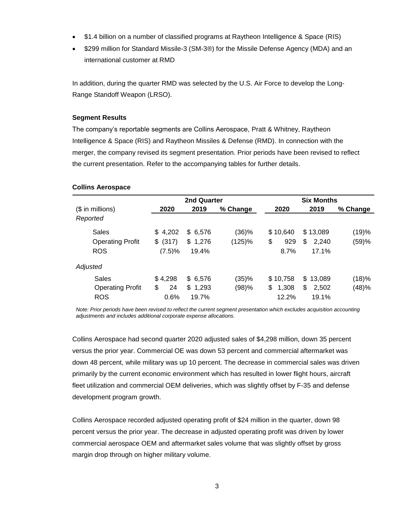- \$1.4 billion on a number of classified programs at Raytheon Intelligence & Space (RIS)
- \$299 million for Standard Missile-3 (SM-3®) for the Missile Defense Agency (MDA) and an international customer at RMD

In addition, during the quarter RMD was selected by the U.S. Air Force to develop the Long-Range Standoff Weapon (LRSO).

#### **Segment Results**

The company's reportable segments are Collins Aerospace, Pratt & Whitney, Raytheon Intelligence & Space (RIS) and Raytheon Missiles & Defense (RMD). In connection with the merger, the company revised its segment presentation. Prior periods have been revised to reflect the current presentation. Refer to the accompanying tables for further details.

### **Collins Aerospace**

|                         |             | 2nd Quarter  |          |             | <b>Six Months</b> |          |  |
|-------------------------|-------------|--------------|----------|-------------|-------------------|----------|--|
| $($$ in millions)       | 2020        | 2019         | % Change | 2020        | 2019              | % Change |  |
| Reported                |             |              |          |             |                   |          |  |
| Sales                   | 4,202<br>\$ | 6,576<br>\$. | (36)%    | \$10,640    | \$13,089          | (19)%    |  |
| <b>Operating Profit</b> | \$<br>(317) | \$1,276      | (125)%   | \$<br>929   | \$<br>2,240       | (59)%    |  |
| <b>ROS</b>              | (7.5)%      | 19.4%        |          | 8.7%        | 17.1%             |          |  |
| Adjusted                |             |              |          |             |                   |          |  |
| Sales                   | \$4,298     | \$ 6,576     | (35)%    | \$10,758    | \$13,089          | (18)%    |  |
| <b>Operating Profit</b> | \$<br>24    | \$1,293      | (98)%    | \$<br>1,308 | \$<br>2,502       | (48)%    |  |
| <b>ROS</b>              | 0.6%        | 19.7%        |          | 12.2%       | 19.1%             |          |  |

*Note: Prior periods have been revised to reflect the current segment presentation which excludes acquisition accounting adjustments and includes additional corporate expense allocations.*

Collins Aerospace had second quarter 2020 adjusted sales of \$4,298 million, down 35 percent versus the prior year. Commercial OE was down 53 percent and commercial aftermarket was down 48 percent, while military was up 10 percent. The decrease in commercial sales was driven primarily by the current economic environment which has resulted in lower flight hours, aircraft fleet utilization and commercial OEM deliveries, which was slightly offset by F-35 and defense development program growth.

Collins Aerospace recorded adjusted operating profit of \$24 million in the quarter, down 98 percent versus the prior year. The decrease in adjusted operating profit was driven by lower commercial aerospace OEM and aftermarket sales volume that was slightly offset by gross margin drop through on higher military volume.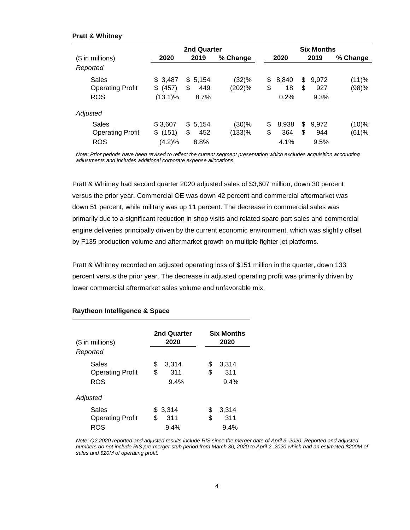#### **Pratt & Whitney**

|                   |                         |             | 2nd Quarter  |          |     | <b>Six Months</b> |    |       |          |  |  |  |  |  |
|-------------------|-------------------------|-------------|--------------|----------|-----|-------------------|----|-------|----------|--|--|--|--|--|
| $($$ in millions) |                         | 2020        | 2019         | % Change |     | 2020              |    | 2019  | % Change |  |  |  |  |  |
| Reported          |                         |             |              |          |     |                   |    |       |          |  |  |  |  |  |
| Sales             |                         | \$3,487     | 5,154<br>\$. | (32)%    | \$. | 8.840             | \$ | 9.972 | (11)%    |  |  |  |  |  |
|                   | <b>Operating Profit</b> | (457)<br>\$ | \$<br>449    | (202)%   | \$  | 18                | \$ | 927   | (98)%    |  |  |  |  |  |
| <b>ROS</b>        |                         | $(13.1)\%$  | 8.7%         |          |     | 0.2%              |    | 9.3%  |          |  |  |  |  |  |
| Adjusted          |                         |             |              |          |     |                   |    |       |          |  |  |  |  |  |
| <b>Sales</b>      |                         | \$3,607     | \$5,154      | (30)%    | \$  | 8.938             | \$ | 9.972 | $(10)\%$ |  |  |  |  |  |
|                   | <b>Operating Profit</b> | (151)<br>\$ | \$<br>452    | (133)%   | \$  | 364               | \$ | 944   | (61)%    |  |  |  |  |  |
| <b>ROS</b>        |                         | (4.2)%      | 8.8%         |          |     | 4.1%              |    | 9.5%  |          |  |  |  |  |  |

*Note: Prior periods have been revised to reflect the current segment presentation which excludes acquisition accounting adjustments and includes additional corporate expense allocations.*

Pratt & Whitney had second quarter 2020 adjusted sales of \$3,607 million, down 30 percent versus the prior year. Commercial OE was down 42 percent and commercial aftermarket was down 51 percent, while military was up 11 percent. The decrease in commercial sales was primarily due to a significant reduction in shop visits and related spare part sales and commercial engine deliveries principally driven by the current economic environment, which was slightly offset by F135 production volume and aftermarket growth on multiple fighter jet platforms.

Pratt & Whitney recorded an adjusted operating loss of \$151 million in the quarter, down 133 percent versus the prior year. The decrease in adjusted operating profit was primarily driven by lower commercial aftermarket sales volume and unfavorable mix.

| $($$ in millions)                              | 2nd Quarter<br>2020              | <b>Six Months</b><br>2020        |  |  |  |  |  |
|------------------------------------------------|----------------------------------|----------------------------------|--|--|--|--|--|
| Reported                                       |                                  |                                  |  |  |  |  |  |
| Sales<br><b>Operating Profit</b><br><b>ROS</b> | \$<br>3.314<br>\$<br>311<br>9.4% | \$<br>3,314<br>\$<br>311<br>9.4% |  |  |  |  |  |
| Adjusted                                       |                                  |                                  |  |  |  |  |  |
| Sales<br><b>Operating Profit</b><br>ROS        | \$3.314<br>\$<br>311<br>9.4%     | \$<br>3.314<br>\$<br>311<br>9.4% |  |  |  |  |  |

#### **Raytheon Intelligence & Space**

*Note: Q2 2020 reported and adjusted results include RIS since the merger date of April 3, 2020. Reported and adjusted numbers do not include RIS pre-merger stub period from March 30, 2020 to April 2, 2020 which had an estimated \$200M of sales and \$20M of operating profit.*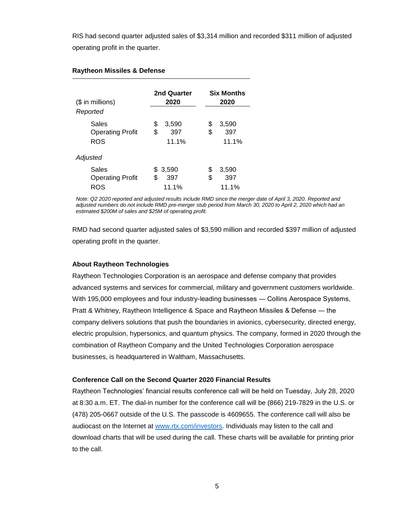RIS had second quarter adjusted sales of \$3,314 million and recorded \$311 million of adjusted operating profit in the quarter.

| $($$ in millions)<br>Reported                  | 2nd Quarter<br>2020               | <b>Six Months</b><br>2020         |
|------------------------------------------------|-----------------------------------|-----------------------------------|
| Sales<br><b>Operating Profit</b><br><b>ROS</b> | \$<br>3.590<br>\$<br>397<br>11.1% | \$<br>3,590<br>\$<br>397<br>11.1% |
| Adjusted                                       |                                   |                                   |
| Sales<br><b>Operating Profit</b><br>ROS        | \$ 3,590<br>\$<br>397<br>11.1%    | \$<br>3,590<br>397<br>\$<br>11.1% |

#### **Raytheon Missiles & Defense**

*Note: Q2 2020 reported and adjusted results include RMD since the merger date of April 3, 2020. Reported and adjusted numbers do not include RMD pre-merger stub period from March 30, 2020 to April 2, 2020 which had an estimated \$200M of sales and \$25M of operating profit.*

RMD had second quarter adjusted sales of \$3,590 million and recorded \$397 million of adjusted operating profit in the quarter.

#### **About Raytheon Technologies**

Raytheon Technologies Corporation is an aerospace and defense company that provides advanced systems and services for commercial, military and government customers worldwide. With 195,000 employees and four industry-leading businesses — Collins Aerospace Systems, Pratt & Whitney, Raytheon Intelligence & Space and Raytheon Missiles & Defense ― the company delivers solutions that push the boundaries in avionics, cybersecurity, directed energy, electric propulsion, hypersonics, and quantum physics. The company, formed in 2020 through the combination of Raytheon Company and the United Technologies Corporation aerospace businesses, is headquartered in Waltham, Massachusetts.

#### **Conference Call on the Second Quarter 2020 Financial Results**

Raytheon Technologies' financial results conference call will be held on Tuesday, July 28, 2020 at 8:30 a.m. ET. The dial-in number for the conference call will be (866) 219-7829 in the U.S. or (478) 205-0667 outside of the U.S. The passcode is 4609655. The conference call will also be audiocast on the Internet at [www.rtx.com/investors.](http://www.rtx.com/investors) Individuals may listen to the call and download charts that will be used during the call. These charts will be available for printing prior to the call.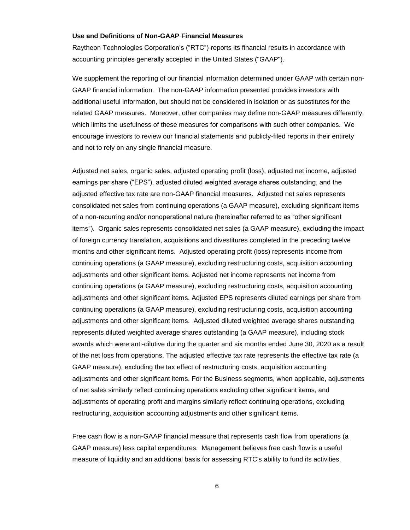#### **Use and Definitions of Non-GAAP Financial Measures**

Raytheon Technologies Corporation's ("RTC") reports its financial results in accordance with accounting principles generally accepted in the United States ("GAAP").

We supplement the reporting of our financial information determined under GAAP with certain non-GAAP financial information. The non-GAAP information presented provides investors with additional useful information, but should not be considered in isolation or as substitutes for the related GAAP measures. Moreover, other companies may define non-GAAP measures differently, which limits the usefulness of these measures for comparisons with such other companies. We encourage investors to review our financial statements and publicly-filed reports in their entirety and not to rely on any single financial measure.

Adjusted net sales, organic sales, adjusted operating profit (loss), adjusted net income, adjusted earnings per share ("EPS"), adjusted diluted weighted average shares outstanding, and the adjusted effective tax rate are non-GAAP financial measures. Adjusted net sales represents consolidated net sales from continuing operations (a GAAP measure), excluding significant items of a non-recurring and/or nonoperational nature (hereinafter referred to as "other significant items"). Organic sales represents consolidated net sales (a GAAP measure), excluding the impact of foreign currency translation, acquisitions and divestitures completed in the preceding twelve months and other significant items. Adjusted operating profit (loss) represents income from continuing operations (a GAAP measure), excluding restructuring costs, acquisition accounting adjustments and other significant items. Adjusted net income represents net income from continuing operations (a GAAP measure), excluding restructuring costs, acquisition accounting adjustments and other significant items. Adjusted EPS represents diluted earnings per share from continuing operations (a GAAP measure), excluding restructuring costs, acquisition accounting adjustments and other significant items. Adjusted diluted weighted average shares outstanding represents diluted weighted average shares outstanding (a GAAP measure), including stock awards which were anti-dilutive during the quarter and six months ended June 30, 2020 as a result of the net loss from operations. The adjusted effective tax rate represents the effective tax rate (a GAAP measure), excluding the tax effect of restructuring costs, acquisition accounting adjustments and other significant items. For the Business segments, when applicable, adjustments of net sales similarly reflect continuing operations excluding other significant items, and adjustments of operating profit and margins similarly reflect continuing operations, excluding restructuring, acquisition accounting adjustments and other significant items.

Free cash flow is a non-GAAP financial measure that represents cash flow from operations (a GAAP measure) less capital expenditures. Management believes free cash flow is a useful measure of liquidity and an additional basis for assessing RTC's ability to fund its activities,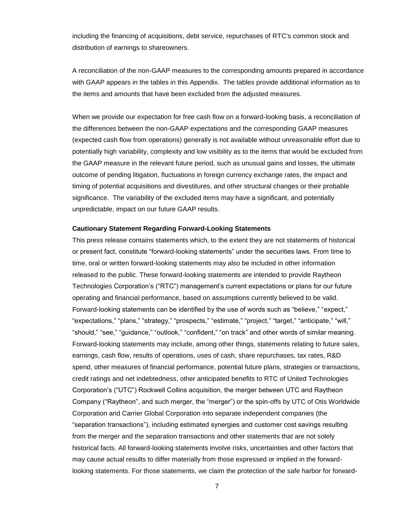including the financing of acquisitions, debt service, repurchases of RTC's common stock and distribution of earnings to shareowners.

A reconciliation of the non-GAAP measures to the corresponding amounts prepared in accordance with GAAP appears in the tables in this Appendix. The tables provide additional information as to the items and amounts that have been excluded from the adjusted measures.

When we provide our expectation for free cash flow on a forward-looking basis, a reconciliation of the differences between the non-GAAP expectations and the corresponding GAAP measures (expected cash flow from operations) generally is not available without unreasonable effort due to potentially high variability, complexity and low visibility as to the items that would be excluded from the GAAP measure in the relevant future period, such as unusual gains and losses, the ultimate outcome of pending litigation, fluctuations in foreign currency exchange rates, the impact and timing of potential acquisitions and divestitures, and other structural changes or their probable significance. The variability of the excluded items may have a significant, and potentially unpredictable, impact on our future GAAP results.

#### **Cautionary Statement Regarding Forward-Looking Statements**

This press release contains statements which, to the extent they are not statements of historical or present fact, constitute "forward-looking statements" under the securities laws. From time to time, oral or written forward-looking statements may also be included in other information released to the public. These forward-looking statements are intended to provide Raytheon Technologies Corporation's ("RTC") management's current expectations or plans for our future operating and financial performance, based on assumptions currently believed to be valid. Forward-looking statements can be identified by the use of words such as "believe," "expect," "expectations," "plans," "strategy," "prospects," "estimate," "project," "target," "anticipate," "will," "should," "see," "guidance," "outlook," "confident," "on track" and other words of similar meaning. Forward-looking statements may include, among other things, statements relating to future sales, earnings, cash flow, results of operations, uses of cash, share repurchases, tax rates, R&D spend, other measures of financial performance, potential future plans, strategies or transactions, credit ratings and net indebtedness, other anticipated benefits to RTC of United Technologies Corporation's ("UTC") Rockwell Collins acquisition, the merger between UTC and Raytheon Company ("Raytheon", and such merger, the "merger") or the spin-offs by UTC of Otis Worldwide Corporation and Carrier Global Corporation into separate independent companies (the "separation transactions"), including estimated synergies and customer cost savings resulting from the merger and the separation transactions and other statements that are not solely historical facts. All forward-looking statements involve risks, uncertainties and other factors that may cause actual results to differ materially from those expressed or implied in the forwardlooking statements. For those statements, we claim the protection of the safe harbor for forward-

7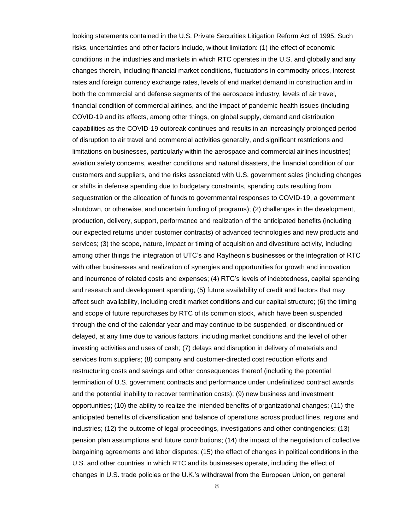looking statements contained in the U.S. Private Securities Litigation Reform Act of 1995. Such risks, uncertainties and other factors include, without limitation: (1) the effect of economic conditions in the industries and markets in which RTC operates in the U.S. and globally and any changes therein, including financial market conditions, fluctuations in commodity prices, interest rates and foreign currency exchange rates, levels of end market demand in construction and in both the commercial and defense segments of the aerospace industry, levels of air travel, financial condition of commercial airlines, and the impact of pandemic health issues (including COVID-19 and its effects, among other things, on global supply, demand and distribution capabilities as the COVID-19 outbreak continues and results in an increasingly prolonged period of disruption to air travel and commercial activities generally, and significant restrictions and limitations on businesses, particularly within the aerospace and commercial airlines industries) aviation safety concerns, weather conditions and natural disasters, the financial condition of our customers and suppliers, and the risks associated with U.S. government sales (including changes or shifts in defense spending due to budgetary constraints, spending cuts resulting from sequestration or the allocation of funds to governmental responses to COVID-19, a government shutdown, or otherwise, and uncertain funding of programs); (2) challenges in the development, production, delivery, support, performance and realization of the anticipated benefits (including our expected returns under customer contracts) of advanced technologies and new products and services; (3) the scope, nature, impact or timing of acquisition and divestiture activity, including among other things the integration of UTC's and Raytheon's businesses or the integration of RTC with other businesses and realization of synergies and opportunities for growth and innovation and incurrence of related costs and expenses; (4) RTC's levels of indebtedness, capital spending and research and development spending; (5) future availability of credit and factors that may affect such availability, including credit market conditions and our capital structure; (6) the timing and scope of future repurchases by RTC of its common stock, which have been suspended through the end of the calendar year and may continue to be suspended, or discontinued or delayed, at any time due to various factors, including market conditions and the level of other investing activities and uses of cash; (7) delays and disruption in delivery of materials and services from suppliers; (8) company and customer-directed cost reduction efforts and restructuring costs and savings and other consequences thereof (including the potential termination of U.S. government contracts and performance under undefinitized contract awards and the potential inability to recover termination costs); (9) new business and investment opportunities; (10) the ability to realize the intended benefits of organizational changes; (11) the anticipated benefits of diversification and balance of operations across product lines, regions and industries; (12) the outcome of legal proceedings, investigations and other contingencies; (13) pension plan assumptions and future contributions; (14) the impact of the negotiation of collective bargaining agreements and labor disputes; (15) the effect of changes in political conditions in the U.S. and other countries in which RTC and its businesses operate, including the effect of changes in U.S. trade policies or the U.K.'s withdrawal from the European Union, on general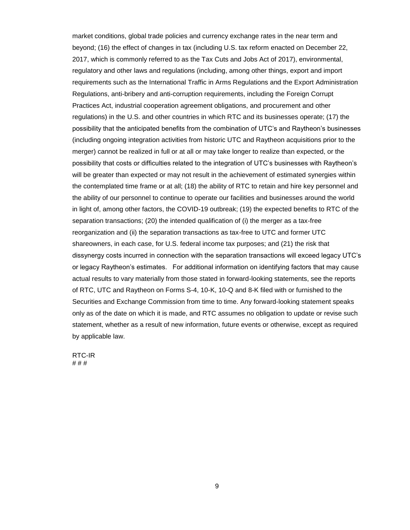market conditions, global trade policies and currency exchange rates in the near term and beyond; (16) the effect of changes in tax (including U.S. tax reform enacted on December 22, 2017, which is commonly referred to as the Tax Cuts and Jobs Act of 2017), environmental, regulatory and other laws and regulations (including, among other things, export and import requirements such as the International Traffic in Arms Regulations and the Export Administration Regulations, anti-bribery and anti-corruption requirements, including the Foreign Corrupt Practices Act, industrial cooperation agreement obligations, and procurement and other regulations) in the U.S. and other countries in which RTC and its businesses operate; (17) the possibility that the anticipated benefits from the combination of UTC's and Raytheon's businesses (including ongoing integration activities from historic UTC and Raytheon acquisitions prior to the merger) cannot be realized in full or at all or may take longer to realize than expected, or the possibility that costs or difficulties related to the integration of UTC's businesses with Raytheon's will be greater than expected or may not result in the achievement of estimated synergies within the contemplated time frame or at all; (18) the ability of RTC to retain and hire key personnel and the ability of our personnel to continue to operate our facilities and businesses around the world in light of, among other factors, the COVID-19 outbreak; (19) the expected benefits to RTC of the separation transactions; (20) the intended qualification of (i) the merger as a tax-free reorganization and (ii) the separation transactions as tax-free to UTC and former UTC shareowners, in each case, for U.S. federal income tax purposes; and (21) the risk that dissynergy costs incurred in connection with the separation transactions will exceed legacy UTC's or legacy Raytheon's estimates. For additional information on identifying factors that may cause actual results to vary materially from those stated in forward-looking statements, see the reports of RTC, UTC and Raytheon on Forms S-4, 10-K, 10-Q and 8-K filed with or furnished to the Securities and Exchange Commission from time to time. Any forward-looking statement speaks only as of the date on which it is made, and RTC assumes no obligation to update or revise such statement, whether as a result of new information, future events or otherwise, except as required by applicable law.

RTC-IR # # #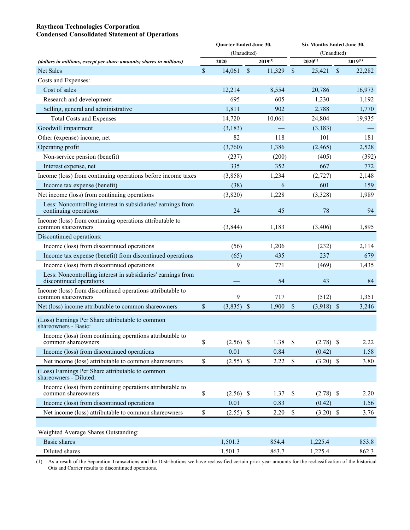## **Raytheon Technologies Corporation Condensed Consolidated Statement of Operations**

|                                                                                         |               | Quarter Ended June 30, |               |              | Six Months Ended June 30, |              |               |              |  |  |  |  |  |  |
|-----------------------------------------------------------------------------------------|---------------|------------------------|---------------|--------------|---------------------------|--------------|---------------|--------------|--|--|--|--|--|--|
|                                                                                         |               | (Unaudited)            |               |              |                           | (Unaudited)  |               |              |  |  |  |  |  |  |
| (dollars in millions, except per share amounts; shares in millions)                     |               | 2020                   |               | $2019^{(1)}$ |                           | $2020^{(1)}$ |               | $2019^{(1)}$ |  |  |  |  |  |  |
| Net Sales                                                                               | $\mathcal{S}$ | 14,061                 | $\sqrt{\ }$   | 11,329       | $\sqrt{\ }$               | 25,421       | $\mathcal{S}$ | 22,282       |  |  |  |  |  |  |
| Costs and Expenses:                                                                     |               |                        |               |              |                           |              |               |              |  |  |  |  |  |  |
| Cost of sales                                                                           |               | 12,214                 |               | 8,554        |                           | 20,786       |               | 16,973       |  |  |  |  |  |  |
| Research and development                                                                |               | 695                    |               | 605          |                           | 1,230        |               | 1,192        |  |  |  |  |  |  |
| Selling, general and administrative                                                     |               | 1,811                  |               | 902          |                           | 2,788        |               | 1,770        |  |  |  |  |  |  |
| <b>Total Costs and Expenses</b>                                                         |               | 14,720                 |               | 10,061       |                           | 24,804       |               | 19,935       |  |  |  |  |  |  |
| Goodwill impairment                                                                     |               | (3,183)                |               |              |                           | (3,183)      |               |              |  |  |  |  |  |  |
| Other (expense) income, net                                                             |               | 82                     |               | 118          |                           | 101          |               | 181          |  |  |  |  |  |  |
| Operating profit                                                                        |               | (3,760)                |               | 1,386        |                           | (2, 465)     |               | 2,528        |  |  |  |  |  |  |
| Non-service pension (benefit)                                                           |               | (237)                  |               | (200)        |                           | (405)        |               | (392)        |  |  |  |  |  |  |
| Interest expense, net                                                                   |               | 335                    |               | 352          |                           | 667          |               | 772          |  |  |  |  |  |  |
| Income (loss) from continuing operations before income taxes                            |               | (3,858)                |               | 1,234        |                           | (2,727)      |               | 2,148        |  |  |  |  |  |  |
| Income tax expense (benefit)                                                            |               | (38)                   |               | 6            |                           | 601          |               | 159          |  |  |  |  |  |  |
| Net income (loss) from continuing operations                                            |               | (3,820)                |               | 1,228        |                           | (3,328)      |               | 1,989        |  |  |  |  |  |  |
| Less: Noncontrolling interest in subsidiaries' earnings from<br>continuing operations   |               | 24                     |               | 45           |                           | 78           |               | 94           |  |  |  |  |  |  |
| Income (loss) from continuing operations attributable to<br>common shareowners          |               | (3, 844)               |               | 1,183        |                           | (3, 406)     |               | 1,895        |  |  |  |  |  |  |
| Discontinued operations:                                                                |               |                        |               |              |                           |              |               |              |  |  |  |  |  |  |
| Income (loss) from discontinued operations                                              |               | (56)                   |               | 1,206        |                           | (232)        |               | 2,114        |  |  |  |  |  |  |
| Income tax expense (benefit) from discontinued operations                               |               | (65)                   |               | 435          |                           | 237          |               | 679          |  |  |  |  |  |  |
| Income (loss) from discontinued operations                                              |               | 9                      |               | 771          |                           | (469)        |               | 1,435        |  |  |  |  |  |  |
| Less: Noncontrolling interest in subsidiaries' earnings from<br>discontinued operations |               |                        |               | 54           |                           | 43           |               | 84           |  |  |  |  |  |  |
| Income (loss) from discontinued operations attributable to<br>common shareowners        |               | 9                      |               | 717          |                           | (512)        |               | 1,351        |  |  |  |  |  |  |
| Net (loss) income attributable to common shareowners                                    | \$            | (3,835)                | $\mathcal{S}$ | 1,900        | \$                        | $(3,918)$ \$ |               | 3,246        |  |  |  |  |  |  |
| (Loss) Earnings Per Share attributable to common<br>shareowners - Basic:                |               |                        |               |              |                           |              |               |              |  |  |  |  |  |  |
| Income (loss) from continuing operations attributable to<br>common shareowners          | \$            | $(2.56)$ \$            |               | 1.38         | $\mathbb S$               | $(2.78)$ \$  |               | 2.22         |  |  |  |  |  |  |
| Income (loss) from discontinued operations                                              |               | 0.01                   |               | 0.84         |                           | (0.42)       |               | 1.58         |  |  |  |  |  |  |
| Net income (loss) attributable to common shareowners                                    | \$            | $(2.55)$ \$            |               | 2.22         | $\mathbb{S}$              | $(3.20)$ \$  |               | 3.80         |  |  |  |  |  |  |
| (Loss) Earnings Per Share attributable to common<br>shareowners - Diluted:              |               |                        |               |              |                           |              |               |              |  |  |  |  |  |  |
| Income (loss) from continuing operations attributable to<br>common shareowners          | \$            | $(2.56)$ \$            |               | 1.37         | \$                        | $(2.78)$ \$  |               | 2.20         |  |  |  |  |  |  |
| Income (loss) from discontinued operations                                              |               | 0.01                   |               | 0.83         |                           | (0.42)       |               | 1.56         |  |  |  |  |  |  |
| Net income (loss) attributable to common shareowners                                    | \$            | $(2.55)$ \$            |               | 2.20         | $\mathbb S$               | $(3.20)$ \$  |               | 3.76         |  |  |  |  |  |  |
|                                                                                         |               |                        |               |              |                           |              |               |              |  |  |  |  |  |  |
| Weighted Average Shares Outstanding:                                                    |               |                        |               |              |                           |              |               |              |  |  |  |  |  |  |
| Basic shares                                                                            |               | 1,501.3                |               | 854.4        |                           | 1,225.4      |               | 853.8        |  |  |  |  |  |  |
| Diluted shares                                                                          |               | 1,501.3                |               | 863.7        |                           | 1,225.4      |               | 862.3        |  |  |  |  |  |  |

(1) As a result of the Separation Transactions and the Distributions we have reclassified certain prior year amounts for the reclassification of the historical Otis and Carrier results to discontinued operations.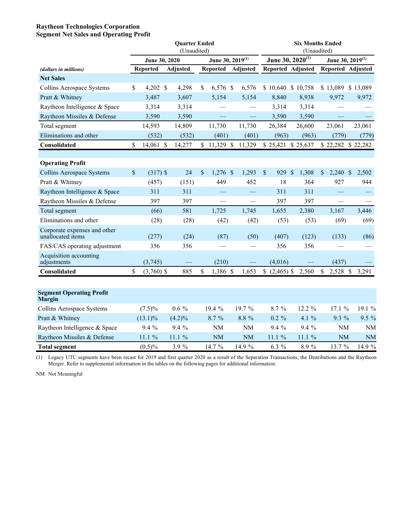### **Raytheon Technologies Corporation Segment Net Sales and Operating Profit**

|                                                   |                    | <b>Quarter Ended</b><br>(Unaudited) |                              |           | <b>Six Months Ended</b><br>(Unaudited) |    |          |    |                              |                      |           |
|---------------------------------------------------|--------------------|-------------------------------------|------------------------------|-----------|----------------------------------------|----|----------|----|------------------------------|----------------------|-----------|
|                                                   | June 30, 2020      |                                     | June 30, 2019 <sup>(1)</sup> |           | June 30, 2020 <sup>(1)</sup>           |    |          |    | June 30, 2019 <sup>(1)</sup> |                      |           |
| (dollars in millions)                             | <b>Reported</b>    | <b>Adjusted</b>                     | Reported                     | Adjusted  | Reported Adjusted                      |    |          |    | Reported Adjusted            |                      |           |
| <b>Net Sales</b>                                  |                    |                                     |                              |           |                                        |    |          |    |                              |                      |           |
| Collins Aerospace Systems                         | \$<br>4,202 \$     | 4,298                               | \$<br>6,576 \$               | 6,576     | \$10,640                               |    | \$10,758 |    | \$13,089 \$13,089            |                      |           |
| Pratt & Whitney                                   | 3,487              | 3,607                               | 5,154                        | 5,154     | 8,840                                  |    | 8,938    |    | 9,972                        |                      | 9,972     |
| Raytheon Intelligence & Space                     | 3,314              | 3,314                               |                              |           | 3,314                                  |    | 3,314    |    |                              |                      |           |
| Raytheon Missiles & Defense                       | 3,590              | 3,590                               |                              |           | 3,590                                  |    | 3,590    |    |                              |                      |           |
| Total segment                                     | 14,593             | 14,809                              | 11,730                       | 11,730    | 26,384                                 |    | 26,600   |    | 23,061                       |                      | 23,061    |
| Eliminations and other                            | (532)              | (532)                               | (401)                        | (401)     | (963)                                  |    | (963)    |    | (779)                        |                      | (779)     |
| Consolidated                                      | \$<br>14,061 \$    | 14,277                              | \$11,329 \$11,329            |           | \$25,421 \$25,637                      |    |          |    | \$22,282 \$22,282            |                      |           |
|                                                   |                    |                                     |                              |           |                                        |    |          |    |                              |                      |           |
| <b>Operating Profit</b>                           |                    |                                     |                              |           |                                        |    |          |    |                              |                      |           |
| <b>Collins Aerospace Systems</b>                  | \$<br>$(317)$ \$   | 24                                  | \$<br>$1,276$ \$             | 1,293     | \$<br>929                              | \$ | 1,308    | \$ | 2,240                        | $\sqrt{\frac{2}{5}}$ | 2,502     |
| Pratt & Whitney                                   | (457)              | (151)                               | 449                          | 452       | 18                                     |    | 364      |    | 927                          |                      | 944       |
| Raytheon Intelligence & Space                     | 311                | 311                                 |                              |           | 311                                    |    | 311      |    |                              |                      |           |
| Raytheon Missiles & Defense                       | 397                | 397                                 |                              |           | 397                                    |    | 397      |    |                              |                      |           |
| Total segment                                     | (66)               | 581                                 | 1,725                        | 1,745     | 1,655                                  |    | 2,380    |    | 3,167                        |                      | 3,446     |
| Eliminations and other                            | (28)               | (28)                                | (42)                         | (42)      | (53)                                   |    | (53)     |    | (69)                         |                      | (69)      |
| Corporate expenses and other<br>unallocated items | (277)              | (24)                                | (87)                         | (50)      | (407)                                  |    | (123)    |    | (133)                        |                      | (86)      |
| FAS/CAS operating adjustment                      | 356                | 356                                 |                              |           | 356                                    |    | 356      |    |                              |                      |           |
| Acquisition accounting<br>adjustments             | (3,745)            |                                     | (210)                        |           | (4,016)                                |    |          |    | (437)                        |                      |           |
| Consolidated                                      | \$<br>$(3,760)$ \$ | 885                                 | \$<br>1,386 \$               | 1,653     | $$$ $(2,465)$ \$                       |    | 2,560    | \$ | 2,528 \$                     |                      | 3,291     |
|                                                   |                    |                                     |                              |           |                                        |    |          |    |                              |                      |           |
| <b>Segment Operating Profit</b><br><b>Margin</b>  |                    |                                     |                              |           |                                        |    |          |    |                              |                      |           |
| Collins Aerospace Systems                         | $(7.5)\%$          | $0.6\%$                             | 19.4 %                       | 19.7 %    | 8.7 %                                  |    | 12.2 %   |    | 17.1%                        |                      | 19.1 %    |
| Pratt & Whitney                                   | $(13.1)\%$         | $(4.2)\%$                           | 8.7 %                        | 8.8 %     | $0.2 \%$                               |    | 4.1%     |    | 9.3 %                        |                      | $9.5 \%$  |
| Raytheon Intelligence & Space                     | 9.4%               | 9.4 %                               | NM                           | <b>NM</b> | 9.4 %                                  |    | 9.4 %    |    | <b>NM</b>                    |                      | NM        |
| Raytheon Missiles & Defense                       | 11.1%              | 11.1%                               | <b>NM</b>                    | <b>NM</b> | 11.1%                                  |    | 11.1%    |    | <b>NM</b>                    |                      | <b>NM</b> |
| <b>Total segment</b>                              | $(0.5)\%$          | 3.9 %                               | 14.7 %                       | 14.9 %    | 6.3 %                                  |    | 8.9%     |    | 13.7 %                       |                      | 14.9 %    |

(1) Legacy UTC segments have been recast for 2019 and first quarter 2020 as a result of the Separation Transactions, the Distributions and the Raytheon Merger. Refer to supplemental information in the tables on the following pages for additional information.

NM Not Meaningful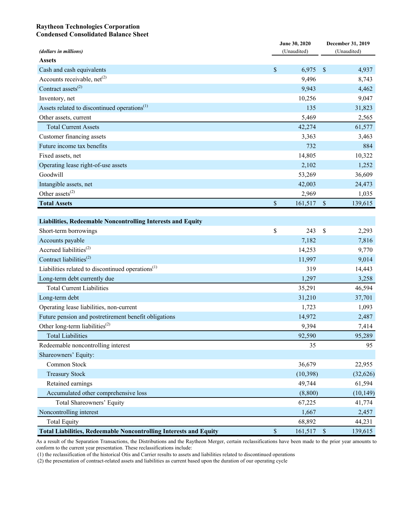### **Raytheon Technologies Corporation Condensed Consolidated Balance Sheet**

| (dollars in millions)                                                    |      | June 30, 2020<br>(Unaudited) | December 31, 2019<br>(Unaudited) |           |  |
|--------------------------------------------------------------------------|------|------------------------------|----------------------------------|-----------|--|
| <b>Assets</b>                                                            |      |                              |                                  |           |  |
| Cash and cash equivalents                                                | \$   | 6,975                        | $\mathcal{S}$                    | 4,937     |  |
| Accounts receivable, net <sup>(2)</sup>                                  |      | 9,496                        |                                  | 8,743     |  |
| Contract assets <sup>(2)</sup>                                           |      | 9,943                        |                                  | 4,462     |  |
| Inventory, net                                                           |      | 10,256                       |                                  | 9,047     |  |
| Assets related to discontinued operations <sup>(1)</sup>                 |      | 135                          |                                  | 31,823    |  |
| Other assets, current                                                    |      | 5,469                        |                                  | 2,565     |  |
| <b>Total Current Assets</b>                                              |      | 42,274                       |                                  | 61,577    |  |
| Customer financing assets                                                |      | 3,363                        |                                  | 3,463     |  |
| Future income tax benefits                                               |      | 732                          |                                  | 884       |  |
| Fixed assets, net                                                        |      | 14,805                       |                                  | 10,322    |  |
| Operating lease right-of-use assets                                      |      | 2,102                        |                                  | 1,252     |  |
| Goodwill                                                                 |      | 53,269                       |                                  | 36,609    |  |
| Intangible assets, net                                                   |      | 42,003                       |                                  | 24,473    |  |
| Other assets <sup>(2)</sup>                                              |      | 2,969                        |                                  | 1,035     |  |
| <b>Total Assets</b>                                                      | \$   | 161,517                      | $\boldsymbol{\mathsf{S}}$        | 139,615   |  |
|                                                                          |      |                              |                                  |           |  |
| Liabilities, Redeemable Noncontrolling Interests and Equity              |      |                              |                                  |           |  |
| Short-term borrowings                                                    | \$   | 243                          | \$                               | 2,293     |  |
| Accounts payable                                                         |      | 7,182                        |                                  | 7,816     |  |
| Accrued liabilities <sup>(2)</sup>                                       |      | 14,253                       |                                  | 9,770     |  |
| Contract liabilities <sup>(2)</sup>                                      |      | 11,997                       |                                  | 9,014     |  |
| Liabilities related to discontinued operations <sup>(1)</sup>            |      | 319                          |                                  | 14,443    |  |
| Long-term debt currently due                                             |      | 1,297                        |                                  | 3,258     |  |
| <b>Total Current Liabilities</b>                                         |      | 35,291                       |                                  | 46,594    |  |
| Long-term debt                                                           |      | 31,210                       |                                  | 37,701    |  |
| Operating lease liabilities, non-current                                 |      | 1,723                        |                                  | 1,093     |  |
| Future pension and postretirement benefit obligations                    |      | 14,972                       |                                  | 2,487     |  |
| Other long-term liabilities <sup>(2)</sup>                               |      | 9,394                        |                                  | 7,414     |  |
| <b>Total Liabilities</b>                                                 |      | 92,590                       |                                  | 95,289    |  |
| Redeemable noncontrolling interest                                       |      | 35                           |                                  | 95        |  |
| Shareowners' Equity:                                                     |      |                              |                                  |           |  |
| Common Stock                                                             |      | 36,679                       |                                  | 22,955    |  |
| <b>Treasury Stock</b>                                                    |      | (10, 398)                    |                                  | (32, 626) |  |
| Retained earnings                                                        |      | 49,744                       |                                  | 61,594    |  |
| Accumulated other comprehensive loss                                     |      | (8, 800)                     |                                  | (10, 149) |  |
| <b>Total Shareowners' Equity</b>                                         |      | 67,225                       |                                  | 41,774    |  |
| Noncontrolling interest                                                  |      | 1,667                        |                                  | 2,457     |  |
| <b>Total Equity</b>                                                      |      | 68,892                       |                                  | 44,231    |  |
| <b>Total Liabilities, Redeemable Noncontrolling Interests and Equity</b> | $\$$ | 161,517                      | $\mathbb{S}$                     | 139,615   |  |

As a result of the Separation Transactions, the Distributions and the Raytheon Merger, certain reclassifications have been made to the prior year amounts to conform to the current year presentation. These reclassifications include:

(1) the reclassification of the historical Otis and Carrier results to assets and liabilities related to discontinued operations

(2) the presentation of contract-related assets and liabilities as current based upon the duration of our operating cycle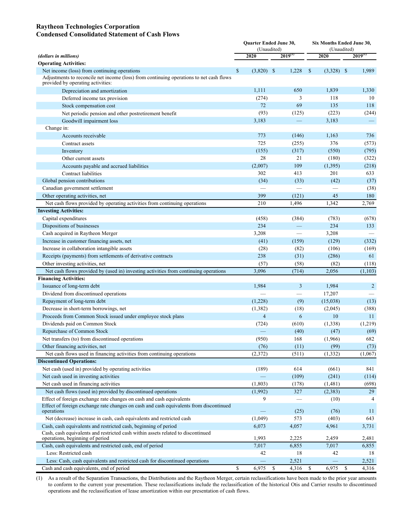### **Raytheon Technologies Corporation Condensed Consolidated Statement of Cash Flows**

|                                                                                                                              |               | Quarter Ended June 30,<br>(Unaudited) |              |                          | Six Months Ended June 30,<br>(Unaudited) |                  |    |                   |  |  |
|------------------------------------------------------------------------------------------------------------------------------|---------------|---------------------------------------|--------------|--------------------------|------------------------------------------|------------------|----|-------------------|--|--|
| (dollars in millions)                                                                                                        |               | 2020                                  | $2019^{(1)}$ |                          |                                          | 2020             |    | $2019^{(1)}$      |  |  |
| <b>Operating Activities:</b>                                                                                                 |               |                                       |              |                          |                                          |                  |    |                   |  |  |
| Net income (loss) from continuing operations                                                                                 | $\mathsf{\$}$ | $(3,820)$ \$                          |              | 1,228                    | $\mathbb{S}$                             | $(3,328)$ \$     |    | 1,989             |  |  |
| Adjustments to reconcile net income (loss) from continuing operations to net cash flows<br>provided by operating activities: |               |                                       |              |                          |                                          |                  |    |                   |  |  |
| Depreciation and amortization                                                                                                |               | 1,111                                 |              | 650                      |                                          | 1,839            |    | 1,330             |  |  |
| Deferred income tax provision                                                                                                |               | (274)                                 |              | 3                        |                                          | 118              |    | 10                |  |  |
| Stock compensation cost                                                                                                      |               | 72                                    |              | 69                       |                                          | 135              |    | 118               |  |  |
| Net periodic pension and other postretirement benefit                                                                        |               | (93)                                  |              | (125)                    |                                          | (223)            |    | (244)             |  |  |
| Goodwill impairment loss                                                                                                     |               | 3,183                                 |              | —                        |                                          | 3,183            |    | $\qquad \qquad -$ |  |  |
| Change in:                                                                                                                   |               |                                       |              |                          |                                          |                  |    |                   |  |  |
| Accounts receivable                                                                                                          |               | 773                                   |              | (146)                    |                                          | 1,163            |    | 736               |  |  |
| Contract assets                                                                                                              |               | 725                                   |              | (255)                    |                                          | 376              |    | (573)             |  |  |
| Inventory                                                                                                                    |               | (155)                                 |              | (317)                    |                                          | (550)            |    | (795)             |  |  |
| Other current assets                                                                                                         |               | 28                                    |              | 21                       |                                          | (180)            |    | (322)             |  |  |
| Accounts payable and accrued liabilities                                                                                     |               | (2,007)                               |              | 109                      |                                          | (1, 395)         |    | (218)             |  |  |
| Contract liabilities                                                                                                         |               | 302                                   |              | 413                      |                                          | 201              |    | 633               |  |  |
| Global pension contributions                                                                                                 |               | (34)                                  |              | (33)                     |                                          | (42)             |    | (37)              |  |  |
| Canadian government settlement                                                                                               |               |                                       |              |                          |                                          |                  |    | (38)              |  |  |
| Other operating activities, net                                                                                              |               | 399                                   |              | (121)                    |                                          | 45               |    | 180               |  |  |
| Net cash flows provided by operating activities from continuing operations                                                   |               | 210                                   |              | 1,496                    |                                          | 1,342            |    | 2,769             |  |  |
| <b>Investing Activities:</b>                                                                                                 |               |                                       |              |                          |                                          |                  |    |                   |  |  |
| Capital expenditures                                                                                                         |               | (458)                                 |              | (384)                    |                                          | (783)            |    | (678)             |  |  |
| Dispositions of businesses                                                                                                   |               | 234                                   |              | $\overline{\phantom{0}}$ |                                          | 234              |    | 133               |  |  |
| Cash acquired in Raytheon Merger                                                                                             |               | 3,208                                 |              |                          |                                          | 3,208            |    |                   |  |  |
| Increase in customer financing assets, net                                                                                   |               | (41)                                  |              | (159)                    |                                          | (129)            |    | (332)             |  |  |
| Increase in collaboration intangible assets                                                                                  |               | (28)                                  |              | (82)                     |                                          | (106)            |    | (169)             |  |  |
| Receipts (payments) from settlements of derivative contracts                                                                 |               | 238                                   |              | (31)                     |                                          | (286)            |    | 61                |  |  |
| Other investing activities, net                                                                                              |               | (57)                                  |              | (58)                     |                                          | (82)             |    | (118)             |  |  |
| Net cash flows provided by (used in) investing activities from continuing operations                                         |               | 3,096                                 |              | (714)                    |                                          | 2,056            |    | (1, 103)          |  |  |
| <b>Financing Activities:</b>                                                                                                 |               |                                       |              |                          |                                          |                  |    |                   |  |  |
| Issuance of long-term debt                                                                                                   |               | 1,984                                 |              | 3                        |                                          | 1,984            |    | $\overline{2}$    |  |  |
| Dividend from discontinued operations                                                                                        |               |                                       |              |                          |                                          | 17,207           |    |                   |  |  |
| Repayment of long-term debt                                                                                                  |               | (1,228)                               |              | (9)                      |                                          | (15,038)         |    | (13)              |  |  |
| Decrease in short-term borrowings, net<br>Proceeds from Common Stock issued under employee stock plans                       |               | (1, 382)<br>$\overline{4}$            |              | (18)<br>6                |                                          | (2,045)<br>10    |    | (388)<br>11       |  |  |
|                                                                                                                              |               |                                       |              | (610)                    |                                          |                  |    |                   |  |  |
| Dividends paid on Common Stock<br>Repurchase of Common Stock                                                                 |               | (724)                                 |              | (40)                     |                                          | (1, 338)<br>(47) |    | (1,219)<br>(69)   |  |  |
| Net transfers (to) from discontinued operations                                                                              |               | (950)                                 |              | 168                      |                                          | (1,966)          |    | 682               |  |  |
| Other financing activities, net                                                                                              |               | (76)                                  |              | (11)                     |                                          | (99)             |    | (73)              |  |  |
| Net cash flows used in financing activities from continuing operations                                                       |               | (2,372)                               |              | (511)                    |                                          | (1, 332)         |    | (1,067)           |  |  |
| <b>Discontinued Operations:</b>                                                                                              |               |                                       |              |                          |                                          |                  |    |                   |  |  |
| Net cash (used in) provided by operating activities                                                                          |               | (189)                                 |              | 614                      |                                          | (661)            |    | 841               |  |  |
| Net cash used in investing activities                                                                                        |               |                                       |              | (109)                    |                                          | (241)            |    | (114)             |  |  |
| Net cash used in financing activities                                                                                        |               | (1, 803)                              |              | (178)                    |                                          | (1,481)          |    | (698)             |  |  |
| Net cash flows (used in) provided by discontinued operations                                                                 |               | (1,992)                               |              | 327                      |                                          | (2,383)          |    | 29                |  |  |
| Effect of foreign exchange rate changes on cash and cash equivalents                                                         |               | 9                                     |              |                          |                                          | (10)             |    | 4                 |  |  |
| Effect of foreign exchange rate changes on cash and cash equivalents from discontinued                                       |               |                                       |              |                          |                                          |                  |    |                   |  |  |
| operations                                                                                                                   |               |                                       |              | (25)                     |                                          | (76)             |    | 11                |  |  |
| Net (decrease) increase in cash, cash equivalents and restricted cash                                                        |               | (1,049)                               |              | 573                      |                                          | (403)            |    | 643               |  |  |
| Cash, cash equivalents and restricted cash, beginning of period                                                              |               | 6,073                                 |              | 4,057                    |                                          | 4,961            |    | 3,731             |  |  |
| Cash, cash equivalents and restricted cash within assets related to discontinued                                             |               | 1,993                                 |              | 2,225                    |                                          | 2,459            |    | 2,481             |  |  |
| operations, beginning of period<br>Cash, cash equivalents and restricted cash, end of period                                 |               | 7,017                                 |              | 6,855                    |                                          | 7,017            |    | 6,855             |  |  |
| Less: Restricted cash                                                                                                        |               | 42                                    |              | 18                       |                                          | 42               |    | 18                |  |  |
| Less: Cash, cash equivalents and restricted cash for discontinued operations                                                 |               |                                       |              | 2,521                    |                                          |                  |    | 2,521             |  |  |
| Cash and cash equivalents, end of period                                                                                     | \$            | 6,975                                 | \$           | 4,316                    | $\mathbb{S}$                             | 6,975            | \$ | 4,316             |  |  |

(1) As a result of the Separation Transactions, the Distributions and the Raytheon Merger, certain reclassifications have been made to the prior year amounts to conform to the current year presentation. These reclassifications include the reclassification of the historical Otis and Carrier results to discontinued operations and the reclassification of lease amortization within our presentation of cash flows.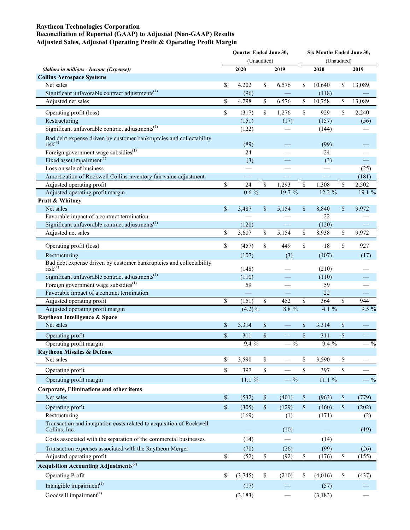#### **Raytheon Technologies Corporation**

### **Reconciliation of Reported (GAAP) to Adjusted (Non-GAAP) Results Adjusted Sales, Adjusted Operating Profit & Operating Profit Margin**

|                                                                                            | <b>Ouarter Ended June 30,</b> | (Unaudited) |        |                         | Six Months Ended June 30,<br>(Unaudited) |                         |         |
|--------------------------------------------------------------------------------------------|-------------------------------|-------------|--------|-------------------------|------------------------------------------|-------------------------|---------|
| (dollars in millions - Income (Expense))                                                   | 2020                          |             | 2019   |                         | 2020                                     |                         | 2019    |
| <b>Collins Aerospace Systems</b>                                                           |                               |             |        |                         |                                          |                         |         |
| Net sales                                                                                  | \$<br>4,202                   | \$          | 6,576  | \$                      | 10,640                                   | \$                      | 13,089  |
| Significant unfavorable contract adjustments $^{(1)}$                                      | (96)                          |             |        |                         | (118)                                    |                         |         |
| Adjusted net sales                                                                         | \$<br>4,298                   | \$          | 6,576  | \$                      | 10,758                                   | \$                      | 13,089  |
| Operating profit (loss)                                                                    | \$<br>(317)                   | \$          | 1,276  | \$                      | 929                                      | \$                      | 2,240   |
| Restructuring                                                                              | (151)                         |             | (17)   |                         | (157)                                    |                         | (56)    |
| Significant unfavorable contract adjustments $^{(1)}$                                      | (122)                         |             |        |                         | (144)                                    |                         |         |
| Bad debt expense driven by customer bankruptcies and collectability<br>risk <sup>(1)</sup> | (89)                          |             |        |                         | (99)                                     |                         |         |
| Foreign government wage subsidies <sup>(1)</sup>                                           | 24                            |             |        |                         | 24                                       |                         |         |
| Fixed asset impairment $(1)$                                                               | (3)                           |             |        |                         | (3)                                      |                         |         |
| Loss on sale of business                                                                   |                               |             |        |                         |                                          |                         | (25)    |
| Amortization of Rockwell Collins inventory fair value adjustment                           |                               |             |        |                         |                                          |                         | (181)   |
| Adjusted operating profit                                                                  | \$<br>24                      | \$          | 1,293  | \$                      | 1,308                                    | \$                      | 2,502   |
| Adjusted operating profit margin                                                           | $0.6\%$                       |             | 19.7 % |                         | $12.2\%$                                 |                         | 19.1%   |
| Pratt & Whitney                                                                            |                               |             |        |                         |                                          |                         |         |
| Net sales                                                                                  | \$<br>3,487                   | \$          | 5,154  | \$                      | 8,840                                    | \$                      | 9,972   |
| Favorable impact of a contract termination                                                 |                               |             |        |                         | 22                                       |                         |         |
| Significant unfavorable contract adjustments $^{(1)}$                                      | (120)                         |             |        |                         | (120)                                    |                         |         |
| Adjusted net sales                                                                         | \$<br>3,607                   | \$          | 5,154  | \$                      | 8,938                                    | \$                      | 9,972   |
| Operating profit (loss)                                                                    | \$<br>(457)                   | \$          | 449    | \$                      | 18                                       | \$                      | 927     |
| Restructuring                                                                              | (107)                         |             | (3)    |                         | (107)                                    |                         | (17)    |
| Bad debt expense driven by customer bankruptcies and collectability<br>risk <sup>(1)</sup> | (148)                         |             |        |                         | (210)                                    |                         |         |
| Significant unfavorable contract adjustments $^{(1)}$                                      | (110)                         |             |        |                         | (110)                                    |                         |         |
| Foreign government wage subsidies <sup>(1)</sup>                                           | 59                            |             |        |                         | 59                                       |                         |         |
| Favorable impact of a contract termination<br>Adjusted operating profit                    | \$<br>(151)                   | \$          | 452    | \$                      | 22<br>$\overline{364}$                   | \$                      | 944     |
| Adjusted operating profit margin                                                           | $(4.2)\%$                     |             | 8.8 %  |                         | 4.1%                                     |                         | $9.5\%$ |
| Raytheon Intelligence & Space                                                              |                               |             |        |                         |                                          |                         |         |
| Net sales                                                                                  | \$<br>3,314                   | \$          |        | \$                      | 3,314                                    | \$                      |         |
|                                                                                            | \$                            |             |        | \$                      |                                          | $\$$                    |         |
| Operating profit<br>Operating profit margin                                                | 311<br>$9.4\%$                | \$          | $-$ %  |                         | 311<br>$9.4\%$                           |                         | $-$ %   |
| <b>Raytheon Missiles &amp; Defense</b>                                                     |                               |             |        |                         |                                          |                         |         |
| Net sales                                                                                  | \$<br>3,590                   | \$          |        | \$                      | 3,590                                    | \$                      |         |
| Operating profit                                                                           | \$<br>397                     | \$          |        | $\overline{\mathbb{S}}$ | 397                                      | $\overline{\mathbb{S}}$ |         |
|                                                                                            |                               |             |        |                         |                                          |                         |         |
| Operating profit margin                                                                    | 11.1 %                        |             | $ \%$  |                         | 11.1%                                    |                         | $-$ %   |
| <b>Corporate, Eliminations and other items</b>                                             |                               |             |        |                         |                                          |                         |         |
| Net sales                                                                                  | \$<br>(532)                   | \$          | (401)  | \$                      | (963)                                    | $\$$                    | (779)   |
| Operating profit                                                                           | \$<br>(305)                   | \$          | (129)  | $\$$                    | (460)                                    | $\mathbb{S}$            | (202)   |
| Restructuring                                                                              | (169)                         |             | (1)    |                         | (171)                                    |                         | (2)     |
| Transaction and integration costs related to acquisition of Rockwell<br>Collins, Inc.      |                               |             | (10)   |                         |                                          |                         | (19)    |
| Costs associated with the separation of the commercial businesses                          | (14)                          |             |        |                         | (14)                                     |                         |         |
| Transaction expenses associated with the Raytheon Merger                                   | (70)                          |             | (26)   |                         | (99)                                     |                         | (26)    |
| Adjusted operating profit                                                                  | \$<br>(52)                    | \$          | (92)   | $\mathbb{S}$            | (176)                                    | $\mathbb{S}$            | (155)   |
| <b>Acquisition Accounting Adjustments</b> <sup>(2)</sup>                                   |                               |             |        |                         |                                          |                         |         |
| <b>Operating Profit</b>                                                                    | \$<br>(3,745)                 | \$          | (210)  | \$                      | (4,016)                                  | \$                      | (437)   |
| Intangible impairment <sup>(1)</sup>                                                       | (17)                          |             |        |                         | (57)                                     |                         |         |
| Goodwill impairment <sup>(1)</sup>                                                         | (3, 183)                      |             |        |                         | (3, 183)                                 |                         |         |
|                                                                                            |                               |             |        |                         |                                          |                         |         |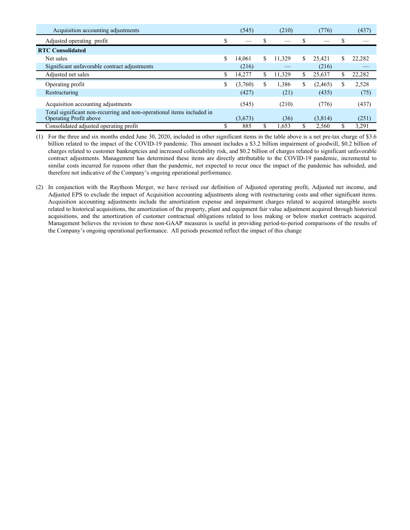| Acquisition accounting adjustments                                                              | (545)         | (210)        |    | (776)    |    | (437)  |
|-------------------------------------------------------------------------------------------------|---------------|--------------|----|----------|----|--------|
| Adjusted operating profit                                                                       |               |              |    |          |    |        |
| <b>RTC Consolidated</b>                                                                         |               |              |    |          |    |        |
| Net sales                                                                                       | \$<br>14.061  | \$<br>11,329 | \$ | 25.421   | \$ | 22.282 |
| Significant unfavorable contract adjustments                                                    | (216)         |              |    | (216)    |    |        |
| Adjusted net sales                                                                              | 14,277        | \$<br>11,329 | \$ | 25,637   |    | 22,282 |
| Operating profit                                                                                | \$<br>(3,760) | \$<br>1,386  | S  | (2, 465) | S  | 2,528  |
| Restructuring                                                                                   | (427)         | (21)         |    | (435)    |    | (75)   |
| Acquisition accounting adjustments                                                              | (545)         | (210)        |    | (776)    |    | (437)  |
| Total significant non-recurring and non-operational items included in<br>Operating Profit above | (3,673)       | (36)         |    | (3,814)  |    | (251)  |
| Consolidated adjusted operating profit                                                          | 885           | \$<br>1.653  |    | 2,560    |    | 3,291  |

(1) For the three and six months ended June 30, 2020, included in other significant items in the table above is a net pre-tax charge of \$3.6 billion related to the impact of the COVID-19 pandemic. This amount includes a \$3.2 billion impairment of goodwill, \$0.2 billion of charges related to customer bankruptcies and increased collectability risk, and \$0.2 billion of charges related to significant unfavorable contract adjustments. Management has determined these items are directly attributable to the COVID-19 pandemic, incremental to similar costs incurred for reasons other than the pandemic, not expected to recur once the impact of the pandemic has subsided, and therefore not indicative of the Company's ongoing operational performance.

(2) In conjunction with the Raytheon Merger, we have revised our definition of Adjusted operating profit, Adjusted net income, and Adjusted EPS to exclude the impact of Acquisition accounting adjustments along with restructuring costs and other significant items. Acquisition accounting adjustments include the amortization expense and impairment charges related to acquired intangible assets related to historical acquisitions, the amortization of the property, plant and equipment fair value adjustment acquired through historical acquisitions, and the amortization of customer contractual obligations related to loss making or below market contracts acquired. Management believes the revision to these non-GAAP measures is useful in providing period-to-period comparisons of the results of the Company's ongoing operational performance. All periods presented reflect the impact of this change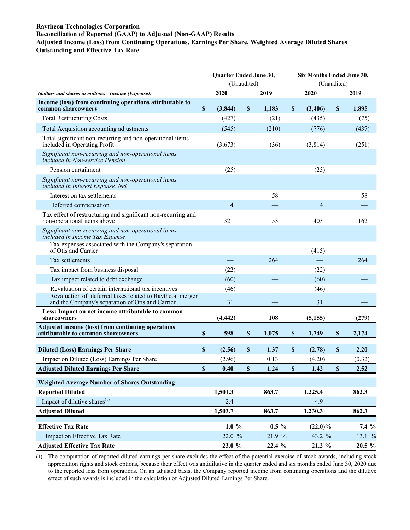#### **Raytheon Technologies Corporation**

# **Reconciliation of Reported (GAAP) to Adjusted (Non-GAAP) Results**

**Adjusted Income (Loss) from Continuing Operations, Earnings Per Share, Weighted Average Diluted Shares Outstanding and Effective Tax Rate**

|                                                                                                                                                                     | Quarter Ended June 30,    |                  |             |          |             | Six Months Ended June 30, |                           |             |  |
|---------------------------------------------------------------------------------------------------------------------------------------------------------------------|---------------------------|------------------|-------------|----------|-------------|---------------------------|---------------------------|-------------|--|
|                                                                                                                                                                     |                           | (Unaudited)      |             |          |             |                           |                           | (Unaudited) |  |
| (dollars and shares in millions - Income (Expense))                                                                                                                 |                           | 2020             |             | 2019     |             | 2020                      |                           | 2019        |  |
| Income (loss) from continuing operations attributable to<br>common shareowners                                                                                      | $\boldsymbol{\mathsf{S}}$ | (3,844)          | $\mathbf S$ | 1.183    | $\mathbf S$ | (3,406)                   | $\mathbb S$               | 1,895       |  |
| <b>Total Restructuring Costs</b>                                                                                                                                    |                           | (427)            |             | (21)     |             | (435)                     |                           | (75)        |  |
| Total Acquisition accounting adjustments                                                                                                                            |                           | (545)            |             | (210)    |             | (776)                     |                           | (437)       |  |
| Total significant non-recurring and non-operational items<br>included in Operating Profit                                                                           |                           | (3,673)          |             | (36)     |             | (3,814)                   |                           | (251)       |  |
| Significant non-recurring and non-operational items<br>included in Non-service Pension                                                                              |                           |                  |             |          |             |                           |                           |             |  |
| Pension curtailment                                                                                                                                                 |                           | (25)             |             |          |             | (25)                      |                           |             |  |
| Significant non-recurring and non-operational items<br>included in Interest Expense, Net                                                                            |                           |                  |             |          |             |                           |                           |             |  |
| Interest on tax settlements                                                                                                                                         |                           |                  |             | 58       |             |                           |                           | 58          |  |
| Deferred compensation                                                                                                                                               |                           | $\overline{4}$   |             |          |             | $\overline{4}$            |                           |             |  |
| Tax effect of restructuring and significant non-recurring and<br>non-operational items above                                                                        |                           | 321              |             | 53       |             | 403                       |                           | 162         |  |
| Significant non-recurring and non-operational items<br>included in Income Tax Expense                                                                               |                           |                  |             |          |             |                           |                           |             |  |
| Tax expenses associated with the Company's separation<br>of Otis and Carrier                                                                                        |                           |                  |             |          |             | (415)                     |                           |             |  |
| Tax settlements                                                                                                                                                     |                           |                  |             | 264      |             |                           |                           | 264         |  |
| Tax impact from business disposal                                                                                                                                   |                           | (22)             |             |          |             | (22)                      |                           |             |  |
| Tax impact related to debt exchange                                                                                                                                 |                           | (60)             |             |          |             | (60)                      |                           |             |  |
| Revaluation of certain international tax incentives<br>Revaluation of deferred taxes related to Raytheon merger<br>and the Company's separation of Otis and Carrier |                           | (46)<br>31       |             |          |             | (46)<br>31                |                           |             |  |
| Less: Impact on net income attributable to common<br>shareowners                                                                                                    |                           | (4, 442)         |             | 108      |             | (5, 155)                  |                           | (279)       |  |
| Adjusted income (loss) from continuing operations<br>attributable to common shareowners                                                                             | \$                        | 598              | $\mathbb S$ | 1,075    | \$          | 1,749                     | \$                        | 2,174       |  |
|                                                                                                                                                                     | $\boldsymbol{\mathsf{S}}$ |                  | \$          | 1.37     |             |                           |                           | 2.20        |  |
| <b>Diluted (Loss) Earnings Per Share</b><br>Impact on Diluted (Loss) Earnings Per Share                                                                             |                           | (2.56)<br>(2.96) |             | 0.13     | \$          | (2.78)<br>(4.20)          | \$                        | (0.32)      |  |
| <b>Adjusted Diluted Earnings Per Share</b>                                                                                                                          | $\boldsymbol{\mathsf{S}}$ | 0.40             | \$          | 1.24     | \$          | 1.42                      | $\boldsymbol{\mathsf{S}}$ | 2.52        |  |
|                                                                                                                                                                     |                           |                  |             |          |             |                           |                           |             |  |
| <b>Weighted Average Number of Shares Outstanding</b>                                                                                                                |                           |                  |             |          |             |                           |                           |             |  |
| <b>Reported Diluted</b>                                                                                                                                             |                           | 1,501.3          |             | 863.7    |             | 1,225.4                   |                           | 862.3       |  |
| Impact of dilutive shares $^{(1)}$                                                                                                                                  |                           | 2.4              |             |          |             | 4.9                       |                           |             |  |
| <b>Adjusted Diluted</b>                                                                                                                                             |                           | 1,503.7          |             | 863.7    |             | 1,230.3                   |                           | 862.3       |  |
| <b>Effective Tax Rate</b>                                                                                                                                           | $1.0 \%$                  |                  |             | $0.5 \%$ |             | $(22.0)\%$                | 7.4 %                     |             |  |
| Impact on Effective Tax Rate                                                                                                                                        |                           | 22.0 %           |             | 21.9 %   |             | 43.2 %                    |                           | 13.1 %      |  |
| <b>Adjusted Effective Tax Rate</b>                                                                                                                                  |                           | 23.0 %           |             | 22.4 %   |             | 21.2 %                    |                           | 20.5 %      |  |

(1) The computation of reported diluted earnings per share excludes the effect of the potential exercise of stock awards, including stock appreciation rights and stock options, because their effect was antidilutive in the quarter ended and six months ended June 30, 2020 due to the reported loss from operations. On an adjusted basis, the Company reported income from continuing operations and the dilutive effect of such awards is included in the calculation of Adjusted Diluted Earnings Per Share.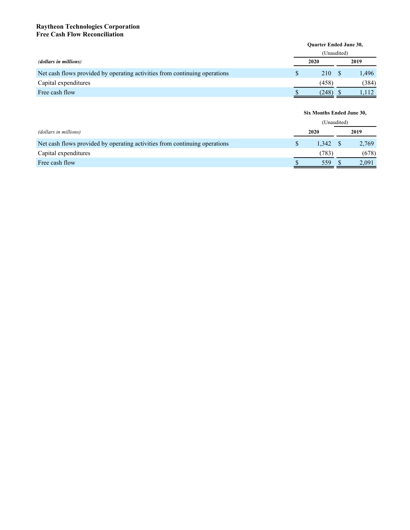### **Raytheon Technologies Corporation Free Cash Flow Reconciliation**

|                                                                            |             | <b>Ouarter Ended June 30,</b> |  |       |  |  |  |  |  |  |  |  |
|----------------------------------------------------------------------------|-------------|-------------------------------|--|-------|--|--|--|--|--|--|--|--|
|                                                                            | (Unaudited) |                               |  |       |  |  |  |  |  |  |  |  |
| (dollars in millions)                                                      |             | 2020                          |  | 2019  |  |  |  |  |  |  |  |  |
| Net cash flows provided by operating activities from continuing operations |             | 210                           |  | 1.496 |  |  |  |  |  |  |  |  |
| Capital expenditures                                                       |             | (458)                         |  | (384) |  |  |  |  |  |  |  |  |
| Free cash flow                                                             |             | (248)                         |  |       |  |  |  |  |  |  |  |  |

**Six Months Ended June 30,**

|                                                                            |  | (Unaudited) |  |       |
|----------------------------------------------------------------------------|--|-------------|--|-------|
| (dollars in millions)                                                      |  | 2020        |  | 2019  |
| Net cash flows provided by operating activities from continuing operations |  | 1.342       |  | 2,769 |
| Capital expenditures                                                       |  | 783)        |  | (678) |
| Free cash flow                                                             |  | 559         |  | 2.091 |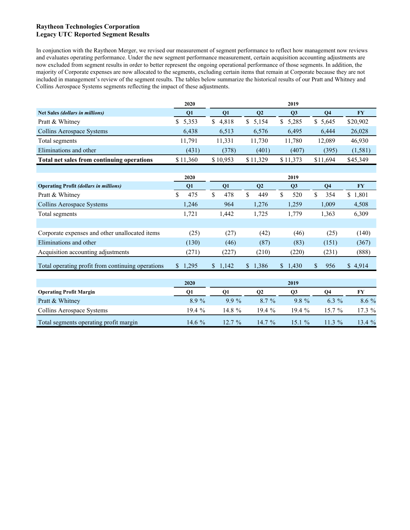### **Raytheon Technologies Corporation Legacy UTC Reported Segment Results**

In conjunction with the Raytheon Merger, we revised our measurement of segment performance to reflect how management now reviews and evaluates operating performance. Under the new segment performance measurement, certain acquisition accounting adjustments are now excluded from segment results in order to better represent the ongoing operational performance of those segments. In addition, the majority of Corporate expenses are now allocated to the segments, excluding certain items that remain at Corporate because they are not included in management's review of the segment results. The tables below summarize the historical results of our Pratt and Whitney and Collins Aerospace Systems segments reflecting the impact of these adjustments.

|                                                   | 2020        | 2019                      |                      |                |                           |           |  |  |
|---------------------------------------------------|-------------|---------------------------|----------------------|----------------|---------------------------|-----------|--|--|
| <b>Net Sales (dollars in millions)</b>            | Q1          | Q1                        | Q2                   | Q3             | Q <sub>4</sub>            | <b>FY</b> |  |  |
| Pratt & Whitney                                   | 5,353<br>\$ | $\mathbb{S}$<br>4,818     | 5,154<br>\$          | \$<br>5,285    | \$5,645                   | \$20,902  |  |  |
| <b>Collins Aerospace Systems</b>                  | 6,438       | 6,513                     | 6,576                | 6,495          | 6,444                     | 26,028    |  |  |
| Total segments                                    | 11,791      | 11,331                    | 11,730               | 11,780         | 12,089                    | 46,930    |  |  |
| Eliminations and other                            | (431)       | (378)                     | (401)                | (407)          | (395)                     | (1, 581)  |  |  |
| Total net sales from continuing operations        | \$11,360    | \$10,953                  | \$11,329             | \$11,373       | \$11,694                  | \$45,349  |  |  |
|                                                   |             |                           |                      |                |                           |           |  |  |
|                                                   | 2020        |                           |                      | 2019           |                           |           |  |  |
| <b>Operating Profit (dollars in millions)</b>     | Q1          | Q1                        | Q2                   | Q3             | Q <sub>4</sub>            | <b>FY</b> |  |  |
| Pratt & Whitney                                   | \$<br>475   | $\mathbf{\hat{S}}$<br>478 | $\mathsf{\$}$<br>449 | \$<br>520      | \$<br>354                 | \$1,801   |  |  |
| Collins Aerospace Systems                         | 1,246       | 964                       | 1,276                | 1,259          | 1,009                     | 4,508     |  |  |
| Total segments                                    | 1,721       | 1,442                     | 1,725                | 1,779          | 1,363                     | 6,309     |  |  |
|                                                   |             |                           |                      |                |                           |           |  |  |
| Corporate expenses and other unallocated items    | (25)        | (27)                      | (42)                 | (46)           | (25)                      | (140)     |  |  |
| Eliminations and other                            | (130)       | (46)                      | (87)                 | (83)           | (151)                     | (367)     |  |  |
| Acquisition accounting adjustments                | (271)       | (227)                     | (210)                | (220)          | (231)                     | (888)     |  |  |
| Total operating profit from continuing operations | \$1,295     | \$1,142                   | \$1,386              | \$1,430        | $\mathbf{\hat{S}}$<br>956 | \$4,914   |  |  |
|                                                   |             |                           |                      |                |                           |           |  |  |
|                                                   | 2020        |                           |                      | 2019           |                           |           |  |  |
| <b>Operating Profit Margin</b>                    | Q1          | Q1                        | Q2                   | Q <sub>3</sub> | Q <sub>4</sub>            | <b>FY</b> |  |  |
| Pratt & Whitney                                   | 8.9 %       | $9.9\%$                   | 8.7 %                | 9.8 %          | $6.3\%$                   | $8.6\%$   |  |  |
| Collins Aerospace Systems                         | 19.4 %      | 14.8 %                    | 19.4 %               | 19.4 %         | 15.7 %                    | 17.3 %    |  |  |
| Total segments operating profit margin            | 14.6 %      | 12.7 %                    | 14.7 %               | 15.1 %         | 11.3 %                    | 13.4 %    |  |  |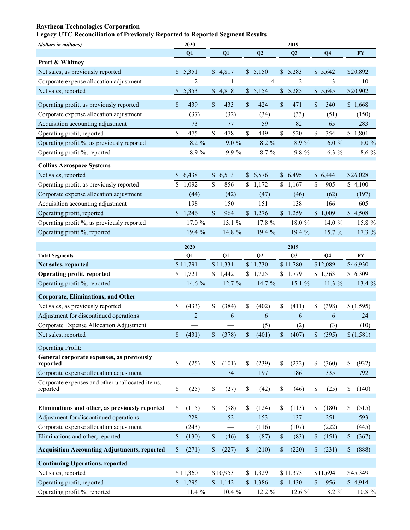# **Raytheon Technologies Corporation**

# **Legacy UTC Reconciliation of Previously Reported to Reported Segment Results**

| Q2<br><b>FY</b><br>Q1<br>Q1<br>Q3<br>Q <sub>4</sub><br>Pratt & Whitney<br>Net sales, as previously reported<br>\$5,351<br>\$4,817<br>\$5,150<br>\$5,283<br>\$5,642<br>\$20,892<br>Corporate expense allocation adjustment<br>2<br>4<br>2<br>3<br>10<br>1<br>5,353<br>\$4,818<br>\$5,154<br>\$5,285<br>\$5,645<br>Net sales, reported<br>\$20,902<br>$\boldsymbol{\$}$<br>$\mathbf S$<br>439<br>\$<br>433<br>\$<br>\$<br>471<br>\$<br>Operating profit, as previously reported<br>424<br>340<br>\$1,668<br>Corporate expense allocation adjustment<br>(37)<br>(32)<br>(34)<br>(33)<br>(51)<br>(150)<br>Acquisition accounting adjustment<br>283<br>59<br>82<br>65<br>73<br>77<br>\$<br>\$<br>\$<br>\$<br>\$<br>\$1,801<br>Operating profit, reported<br>478<br>449<br>520<br>354<br>475<br>9.0%<br>8.9%<br>$6.0 \%$<br>Operating profit %, as previously reported<br>8.2 %<br>8.2 %<br>8.0%<br>Operating profit %, reported<br>8.9%<br>9.9 %<br>8.7 %<br>9.8 %<br>6.3 %<br>8.6 %<br><b>Collins Aerospace Systems</b><br>Net sales, reported<br>6,438<br>\$6,513<br>\$6,576<br>\$6,495<br>\$26,028<br>\$<br>\$6,444<br>\$<br>\$<br>Operating profit, as previously reported<br>\$<br>1,092<br>856<br>\$1,172<br>\$1,167<br>905<br>\$4,100<br>Corporate expense allocation adjustment<br>(42)<br>(47)<br>(62)<br>(44)<br>(46)<br>(197)<br>Acquisition accounting adjustment<br>198<br>150<br>151<br>138<br>166<br>605 |
|--------------------------------------------------------------------------------------------------------------------------------------------------------------------------------------------------------------------------------------------------------------------------------------------------------------------------------------------------------------------------------------------------------------------------------------------------------------------------------------------------------------------------------------------------------------------------------------------------------------------------------------------------------------------------------------------------------------------------------------------------------------------------------------------------------------------------------------------------------------------------------------------------------------------------------------------------------------------------------------------------------------------------------------------------------------------------------------------------------------------------------------------------------------------------------------------------------------------------------------------------------------------------------------------------------------------------------------------------------------------------------------------------------------------|
|                                                                                                                                                                                                                                                                                                                                                                                                                                                                                                                                                                                                                                                                                                                                                                                                                                                                                                                                                                                                                                                                                                                                                                                                                                                                                                                                                                                                                    |
|                                                                                                                                                                                                                                                                                                                                                                                                                                                                                                                                                                                                                                                                                                                                                                                                                                                                                                                                                                                                                                                                                                                                                                                                                                                                                                                                                                                                                    |
|                                                                                                                                                                                                                                                                                                                                                                                                                                                                                                                                                                                                                                                                                                                                                                                                                                                                                                                                                                                                                                                                                                                                                                                                                                                                                                                                                                                                                    |
|                                                                                                                                                                                                                                                                                                                                                                                                                                                                                                                                                                                                                                                                                                                                                                                                                                                                                                                                                                                                                                                                                                                                                                                                                                                                                                                                                                                                                    |
|                                                                                                                                                                                                                                                                                                                                                                                                                                                                                                                                                                                                                                                                                                                                                                                                                                                                                                                                                                                                                                                                                                                                                                                                                                                                                                                                                                                                                    |
|                                                                                                                                                                                                                                                                                                                                                                                                                                                                                                                                                                                                                                                                                                                                                                                                                                                                                                                                                                                                                                                                                                                                                                                                                                                                                                                                                                                                                    |
|                                                                                                                                                                                                                                                                                                                                                                                                                                                                                                                                                                                                                                                                                                                                                                                                                                                                                                                                                                                                                                                                                                                                                                                                                                                                                                                                                                                                                    |
|                                                                                                                                                                                                                                                                                                                                                                                                                                                                                                                                                                                                                                                                                                                                                                                                                                                                                                                                                                                                                                                                                                                                                                                                                                                                                                                                                                                                                    |
|                                                                                                                                                                                                                                                                                                                                                                                                                                                                                                                                                                                                                                                                                                                                                                                                                                                                                                                                                                                                                                                                                                                                                                                                                                                                                                                                                                                                                    |
|                                                                                                                                                                                                                                                                                                                                                                                                                                                                                                                                                                                                                                                                                                                                                                                                                                                                                                                                                                                                                                                                                                                                                                                                                                                                                                                                                                                                                    |
|                                                                                                                                                                                                                                                                                                                                                                                                                                                                                                                                                                                                                                                                                                                                                                                                                                                                                                                                                                                                                                                                                                                                                                                                                                                                                                                                                                                                                    |
|                                                                                                                                                                                                                                                                                                                                                                                                                                                                                                                                                                                                                                                                                                                                                                                                                                                                                                                                                                                                                                                                                                                                                                                                                                                                                                                                                                                                                    |
|                                                                                                                                                                                                                                                                                                                                                                                                                                                                                                                                                                                                                                                                                                                                                                                                                                                                                                                                                                                                                                                                                                                                                                                                                                                                                                                                                                                                                    |
|                                                                                                                                                                                                                                                                                                                                                                                                                                                                                                                                                                                                                                                                                                                                                                                                                                                                                                                                                                                                                                                                                                                                                                                                                                                                                                                                                                                                                    |
|                                                                                                                                                                                                                                                                                                                                                                                                                                                                                                                                                                                                                                                                                                                                                                                                                                                                                                                                                                                                                                                                                                                                                                                                                                                                                                                                                                                                                    |
|                                                                                                                                                                                                                                                                                                                                                                                                                                                                                                                                                                                                                                                                                                                                                                                                                                                                                                                                                                                                                                                                                                                                                                                                                                                                                                                                                                                                                    |
| $\mathsf{\$}$<br>\$4,508<br>Operating profit, reported<br>\$1,246<br>\$1,276<br>\$1,259<br>\$1,009<br>964                                                                                                                                                                                                                                                                                                                                                                                                                                                                                                                                                                                                                                                                                                                                                                                                                                                                                                                                                                                                                                                                                                                                                                                                                                                                                                          |
| Operating profit %, as previously reported<br>17.0 %<br>13.1 %<br>17.8 %<br>18.0 %<br>14.0 %<br>15.8 %                                                                                                                                                                                                                                                                                                                                                                                                                                                                                                                                                                                                                                                                                                                                                                                                                                                                                                                                                                                                                                                                                                                                                                                                                                                                                                             |
| Operating profit %, reported<br>19.4 %<br>14.8 %<br>19.4 %<br>19.4 %<br>15.7 %<br>17.3%                                                                                                                                                                                                                                                                                                                                                                                                                                                                                                                                                                                                                                                                                                                                                                                                                                                                                                                                                                                                                                                                                                                                                                                                                                                                                                                            |
| 2020<br>2019                                                                                                                                                                                                                                                                                                                                                                                                                                                                                                                                                                                                                                                                                                                                                                                                                                                                                                                                                                                                                                                                                                                                                                                                                                                                                                                                                                                                       |
| Q2<br><b>FY</b><br><b>Total Segments</b><br>Q1<br>Q1<br>Q <sub>3</sub><br>Q <sub>4</sub>                                                                                                                                                                                                                                                                                                                                                                                                                                                                                                                                                                                                                                                                                                                                                                                                                                                                                                                                                                                                                                                                                                                                                                                                                                                                                                                           |
| \$11,331<br>\$12,089<br>\$11,791<br>\$11,730<br>\$11,780<br>Net sales, reported<br>\$46,930                                                                                                                                                                                                                                                                                                                                                                                                                                                                                                                                                                                                                                                                                                                                                                                                                                                                                                                                                                                                                                                                                                                                                                                                                                                                                                                        |
| <b>Operating profit, reported</b><br>1,721<br>\$6,309<br>\$1,442<br>1,725<br>\$1,779<br>\$1,363                                                                                                                                                                                                                                                                                                                                                                                                                                                                                                                                                                                                                                                                                                                                                                                                                                                                                                                                                                                                                                                                                                                                                                                                                                                                                                                    |
| Operating profit %, reported<br>14.6 %<br>11.3 %<br>12.7 %<br>14.7 %<br>15.1 %<br>13.4 %                                                                                                                                                                                                                                                                                                                                                                                                                                                                                                                                                                                                                                                                                                                                                                                                                                                                                                                                                                                                                                                                                                                                                                                                                                                                                                                           |
| <b>Corporate, Eliminations, and Other</b>                                                                                                                                                                                                                                                                                                                                                                                                                                                                                                                                                                                                                                                                                                                                                                                                                                                                                                                                                                                                                                                                                                                                                                                                                                                                                                                                                                          |
| Net sales, as previously reported<br>(384)<br>\$<br>(402)<br>\$<br>\$<br>\$<br>(433)<br>\$<br>(411)<br>(398)<br>\$(1,595)                                                                                                                                                                                                                                                                                                                                                                                                                                                                                                                                                                                                                                                                                                                                                                                                                                                                                                                                                                                                                                                                                                                                                                                                                                                                                          |
| Adjustment for discontinued operations<br>$\overline{2}$<br>6<br>6<br>6<br>6<br>24                                                                                                                                                                                                                                                                                                                                                                                                                                                                                                                                                                                                                                                                                                                                                                                                                                                                                                                                                                                                                                                                                                                                                                                                                                                                                                                                 |
| Corporate Expense Allocation Adjustment<br>(10)<br>(5)<br>(2)<br>(3)                                                                                                                                                                                                                                                                                                                                                                                                                                                                                                                                                                                                                                                                                                                                                                                                                                                                                                                                                                                                                                                                                                                                                                                                                                                                                                                                               |
| $\mathbb S$<br>$\mathbb S$<br>\$<br>$\mathsf{\$}$<br>\$<br>(431)<br>(378)<br>(401)<br>(407)<br>(395)<br>\$(1,581)<br>Net sales, reported                                                                                                                                                                                                                                                                                                                                                                                                                                                                                                                                                                                                                                                                                                                                                                                                                                                                                                                                                                                                                                                                                                                                                                                                                                                                           |
| <b>Operating Profit:</b>                                                                                                                                                                                                                                                                                                                                                                                                                                                                                                                                                                                                                                                                                                                                                                                                                                                                                                                                                                                                                                                                                                                                                                                                                                                                                                                                                                                           |
| General corporate expenses, as previously                                                                                                                                                                                                                                                                                                                                                                                                                                                                                                                                                                                                                                                                                                                                                                                                                                                                                                                                                                                                                                                                                                                                                                                                                                                                                                                                                                          |
| \$<br>(25)<br>(101)<br>(239)<br>(232)<br>(932)<br>\$<br>\$<br>\$<br>\$<br>(360)<br>\$<br>reported                                                                                                                                                                                                                                                                                                                                                                                                                                                                                                                                                                                                                                                                                                                                                                                                                                                                                                                                                                                                                                                                                                                                                                                                                                                                                                                  |
| 186<br>Corporate expense allocation adjustment<br>74<br>197<br>335<br>792                                                                                                                                                                                                                                                                                                                                                                                                                                                                                                                                                                                                                                                                                                                                                                                                                                                                                                                                                                                                                                                                                                                                                                                                                                                                                                                                          |
| Corporate expenses and other unallocated items,                                                                                                                                                                                                                                                                                                                                                                                                                                                                                                                                                                                                                                                                                                                                                                                                                                                                                                                                                                                                                                                                                                                                                                                                                                                                                                                                                                    |
| \$<br>\$<br>\$<br>\$<br>\$<br>(25)<br>(27)<br>(42)<br>(46)<br>(25)<br>\$<br>reported<br>(140)                                                                                                                                                                                                                                                                                                                                                                                                                                                                                                                                                                                                                                                                                                                                                                                                                                                                                                                                                                                                                                                                                                                                                                                                                                                                                                                      |
| \$<br>\$<br>Eliminations and other, as previously reported<br>(98)<br>(124)<br>\$<br>\$<br>(180)<br>\$<br>(115)<br>(113)<br>\$<br>(515)                                                                                                                                                                                                                                                                                                                                                                                                                                                                                                                                                                                                                                                                                                                                                                                                                                                                                                                                                                                                                                                                                                                                                                                                                                                                            |
| Adjustment for discontinued operations<br>153<br>137<br>593<br>228<br>52<br>251                                                                                                                                                                                                                                                                                                                                                                                                                                                                                                                                                                                                                                                                                                                                                                                                                                                                                                                                                                                                                                                                                                                                                                                                                                                                                                                                    |
| Corporate expense allocation adjustment<br>(107)<br>(116)<br>(222)<br>(445)<br>(243)                                                                                                                                                                                                                                                                                                                                                                                                                                                                                                                                                                                                                                                                                                                                                                                                                                                                                                                                                                                                                                                                                                                                                                                                                                                                                                                               |
| $\mathbb S$<br>$\mathbb S$<br>$\mathbb S$<br>$\mathbb S$<br>Eliminations and other, reported<br>$\mathbb{S}$<br>(130)<br>(46)<br>(87)<br>\$<br>(83)<br>(151)<br>(367)                                                                                                                                                                                                                                                                                                                                                                                                                                                                                                                                                                                                                                                                                                                                                                                                                                                                                                                                                                                                                                                                                                                                                                                                                                              |
| $\mathbb S$<br>(888)<br><b>Acquisition Accounting Adjustments, reported</b><br>$\boldsymbol{\mathsf{S}}$<br>(271)<br>$\boldsymbol{\mathsf{S}}$<br>(227)<br>$\mathbb S$<br>(210)<br>(220)<br>$\$$<br>(231)<br>\$                                                                                                                                                                                                                                                                                                                                                                                                                                                                                                                                                                                                                                                                                                                                                                                                                                                                                                                                                                                                                                                                                                                                                                                                    |
| <b>Continuing Operations, reported</b>                                                                                                                                                                                                                                                                                                                                                                                                                                                                                                                                                                                                                                                                                                                                                                                                                                                                                                                                                                                                                                                                                                                                                                                                                                                                                                                                                                             |
| Net sales, reported<br>\$11,360<br>\$10,953<br>\$11,329<br>\$11,373<br>\$11,694<br>\$45,349                                                                                                                                                                                                                                                                                                                                                                                                                                                                                                                                                                                                                                                                                                                                                                                                                                                                                                                                                                                                                                                                                                                                                                                                                                                                                                                        |
| Operating profit, reported<br>\$1,295<br>\$1,142<br>\$1,386<br>\$1,430<br>\$<br>956<br>\$4,914                                                                                                                                                                                                                                                                                                                                                                                                                                                                                                                                                                                                                                                                                                                                                                                                                                                                                                                                                                                                                                                                                                                                                                                                                                                                                                                     |
| Operating profit %, reported<br>11.4 %<br>10.4 %<br>12.2 %<br>12.6 %<br>8.2 %<br>10.8 %                                                                                                                                                                                                                                                                                                                                                                                                                                                                                                                                                                                                                                                                                                                                                                                                                                                                                                                                                                                                                                                                                                                                                                                                                                                                                                                            |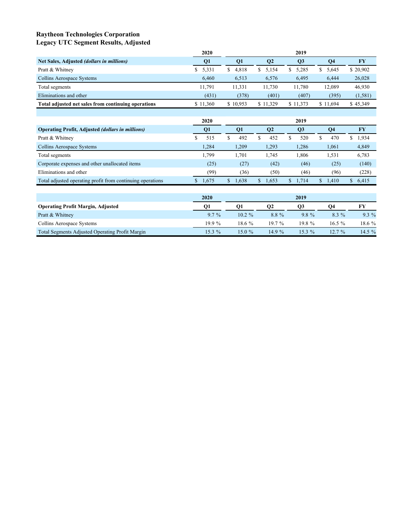### **Raytheon Technologies Corporation Legacy UTC Segment Results, Adjusted**

|                                                     | 2020     |             |           | 2019     |           |           |
|-----------------------------------------------------|----------|-------------|-----------|----------|-----------|-----------|
| Net Sales, Adjusted (dollars in millions)           | Q1       | <b>O1</b>   | <b>O2</b> | Q3       | <b>O4</b> | <b>FY</b> |
| Pratt & Whitney                                     | 5,331    | 4.818<br>S. | 5.154     | \$5,285  | 5.645     | \$20,902  |
| Collins Aerospace Systems                           | 6.460    | 6.513       | 6,576     | 6,495    | 6.444     | 26,028    |
| Total segments                                      | 11.791   | 11.331      | 11.730    | 11.780   | 12.089    | 46,930    |
| Eliminations and other                              | (431)    | (378)       | (401)     | (407)    | (395)     | (1, 581)  |
| Total adjusted net sales from continuing operations | \$11,360 | \$10,953    | \$11.329  | \$11,373 | \$11.694  | \$45,349  |

|                                                            | 2020      | 2019 |            |              |       |  |                |   |            |    |           |
|------------------------------------------------------------|-----------|------|------------|--------------|-------|--|----------------|---|------------|----|-----------|
| <b>Operating Profit, Adjusted (dollars in millions)</b>    | <b>O1</b> |      | <b>O</b> 1 | $\mathbf{Q}$ |       |  | Q <sub>3</sub> |   | <b>O</b> 4 |    | <b>FY</b> |
| Pratt & Whitney                                            | 515       |      | 492        |              | 452   |  | 520            |   | 470        | S  | 1,934     |
| Collins Aerospace Systems                                  | 1.284     |      | 1.209      |              | 1,293 |  | 1,286          |   | 1,061      |    | 4,849     |
| Total segments                                             | 1,799     |      | 1.701      |              | .745  |  | .806           |   | 1.531      |    | 6,783     |
| Corporate expenses and other unallocated items             | (25)      |      | (27)       |              | (42)  |  | (46)           |   | (25)       |    | (140)     |
| Eliminations and other                                     | (99)      |      | (36)       |              | (50)  |  | (46)           |   | (96)       |    | (228)     |
| Total adjusted operating profit from continuing operations | 1,675     |      | 1,638      |              | 1,653 |  | 1.714          | S | 1.410      | S. | 6,415     |

|                                                        | 2020     | 2019      |           |          |          |          |  |  |
|--------------------------------------------------------|----------|-----------|-----------|----------|----------|----------|--|--|
| <b>Operating Profit Margin, Adjusted</b>               | O1       | О1        | <b>O2</b> | O3       | О4       | FY       |  |  |
| Pratt & Whitney                                        | $9.7\%$  | $10.2 \%$ | 8.8%      | $9.8\%$  | $8.3\%$  | $9.3\%$  |  |  |
| Collins Aerospace Systems                              | $19.9\%$ | $18.6\%$  | $19.7\%$  | 19.8%    | $16.5\%$ | 18.6 %   |  |  |
| <b>Total Segments Adjusted Operating Profit Margin</b> | 15.3 %   | 15.0 %    | $14.9\%$  | $15.3\%$ | $12.7\%$ | $14.5\%$ |  |  |